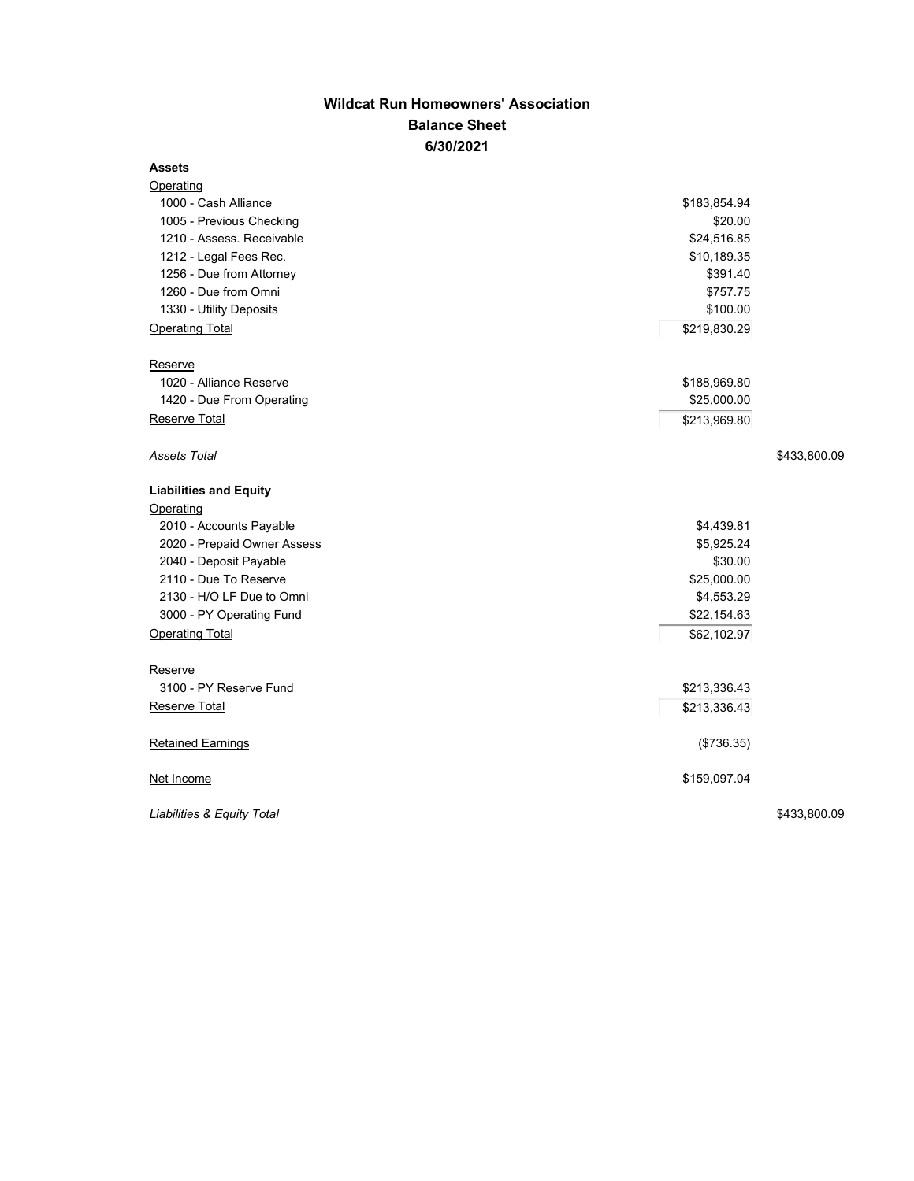## **Wildcat Run Homeowners' Association Balance Sheet 6/30/2021**

## **Assets**

| <b>Operating</b>              |              |  |
|-------------------------------|--------------|--|
| 1000 - Cash Alliance          | \$183,854.94 |  |
| 1005 - Previous Checking      | \$20.00      |  |
| 1210 - Assess. Receivable     | \$24,516.85  |  |
| 1212 - Legal Fees Rec.        | \$10,189.35  |  |
| 1256 - Due from Attorney      | \$391.40     |  |
| 1260 - Due from Omni          | \$757.75     |  |
| 1330 - Utility Deposits       | \$100.00     |  |
| <b>Operating Total</b>        | \$219,830.29 |  |
| Reserve                       |              |  |
| 1020 - Alliance Reserve       | \$188,969.80 |  |
| 1420 - Due From Operating     | \$25,000.00  |  |
| Reserve Total                 | \$213,969.80 |  |
| Assets Total                  | \$433,800.09 |  |
| <b>Liabilities and Equity</b> |              |  |
| Operating                     |              |  |
| 2010 - Accounts Payable       | \$4,439.81   |  |
| 2020 - Prepaid Owner Assess   | \$5,925.24   |  |
| 2040 - Deposit Payable        | \$30.00      |  |
| 2110 - Due To Reserve         | \$25,000.00  |  |
| 2130 - H/O LF Due to Omni     | \$4,553.29   |  |
| 3000 - PY Operating Fund      | \$22,154.63  |  |
| <b>Operating Total</b>        | \$62,102.97  |  |
| Reserve                       |              |  |
| 3100 - PY Reserve Fund        | \$213,336.43 |  |
| Reserve Total                 | \$213,336.43 |  |
| <b>Retained Earnings</b>      | (\$736.35)   |  |
| Net Income                    | \$159,097.04 |  |
| Liabilities & Equity Total    | \$433,800.09 |  |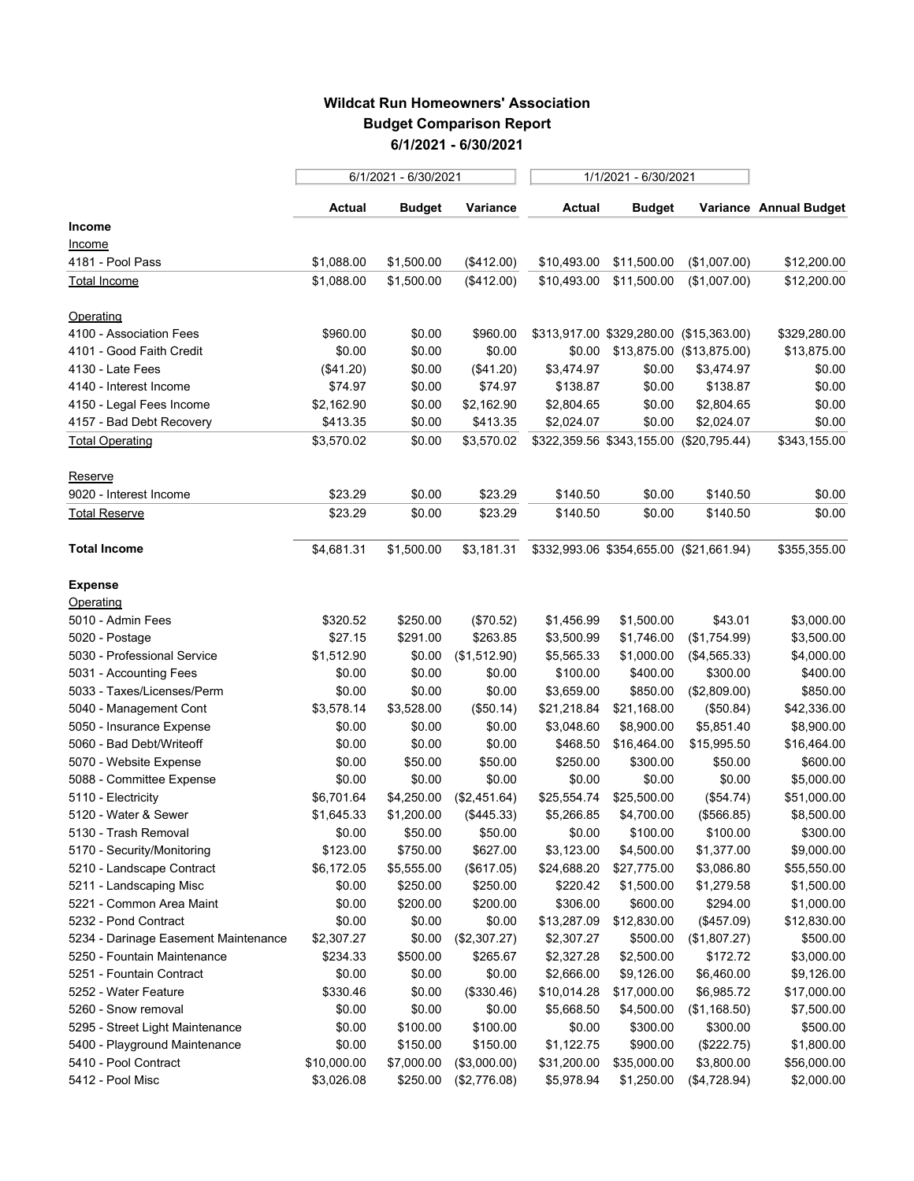## **Wildcat Run Homeowners' Association Budget Comparison Report 6/1/2021 - 6/30/2021**

|                                      | 6/1/2021 - 6/30/2021 |               |              | 1/1/2021 - 6/30/2021 |                                         |              |                        |
|--------------------------------------|----------------------|---------------|--------------|----------------------|-----------------------------------------|--------------|------------------------|
|                                      | Actual               | <b>Budget</b> | Variance     | <b>Actual</b>        | <b>Budget</b>                           |              | Variance Annual Budget |
| <b>Income</b>                        |                      |               |              |                      |                                         |              |                        |
| <u>Income</u>                        |                      |               |              |                      |                                         |              |                        |
| 4181 - Pool Pass                     | \$1,088.00           | \$1,500.00    | (\$412.00)   | \$10,493.00          | \$11,500.00                             | (\$1,007.00) | \$12,200.00            |
| <b>Total Income</b>                  | \$1,088.00           | \$1,500.00    | (\$412.00)   | \$10,493.00          | \$11,500.00                             | (\$1,007.00) | \$12,200.00            |
| Operating                            |                      |               |              |                      |                                         |              |                        |
| 4100 - Association Fees              | \$960.00             | \$0.00        | \$960.00     |                      | \$313,917.00 \$329,280.00 (\$15,363.00) |              | \$329,280.00           |
| 4101 - Good Faith Credit             | \$0.00               | \$0.00        | \$0.00       |                      | \$0.00 \$13,875.00 (\$13,875.00)        |              | \$13,875.00            |
| 4130 - Late Fees                     | (\$41.20)            | \$0.00        | (\$41.20)    | \$3,474.97           | \$0.00                                  | \$3,474.97   | \$0.00                 |
| 4140 - Interest Income               | \$74.97              | \$0.00        | \$74.97      | \$138.87             | \$0.00                                  | \$138.87     | \$0.00                 |
| 4150 - Legal Fees Income             | \$2,162.90           | \$0.00        | \$2,162.90   | \$2,804.65           | \$0.00                                  | \$2,804.65   | \$0.00                 |
| 4157 - Bad Debt Recovery             | \$413.35             | \$0.00        | \$413.35     | \$2,024.07           | \$0.00                                  | \$2,024.07   | \$0.00                 |
| <b>Total Operating</b>               | \$3,570.02           | \$0.00        | \$3,570.02   |                      | \$322,359.56 \$343,155.00 (\$20,795.44) |              | \$343,155.00           |
| Reserve                              |                      |               |              |                      |                                         |              |                        |
| 9020 - Interest Income               | \$23.29              | \$0.00        | \$23.29      | \$140.50             | \$0.00                                  | \$140.50     | \$0.00                 |
| Total Reserve                        | \$23.29              | \$0.00        | \$23.29      | \$140.50             | \$0.00                                  | \$140.50     | \$0.00                 |
| <b>Total Income</b>                  | \$4,681.31           | \$1,500.00    | \$3,181.31   |                      | \$332,993.06 \$354,655.00 (\$21,661.94) |              | \$355,355.00           |
| <b>Expense</b>                       |                      |               |              |                      |                                         |              |                        |
| Operating                            |                      |               |              |                      |                                         |              |                        |
| 5010 - Admin Fees                    | \$320.52             | \$250.00      | (\$70.52)    | \$1,456.99           | \$1,500.00                              | \$43.01      | \$3,000.00             |
| 5020 - Postage                       | \$27.15              | \$291.00      | \$263.85     | \$3,500.99           | \$1,746.00                              | (\$1,754.99) | \$3,500.00             |
| 5030 - Professional Service          | \$1,512.90           | \$0.00        | (\$1,512.90) | \$5,565.33           | \$1,000.00                              | (\$4,565.33) | \$4,000.00             |
| 5031 - Accounting Fees               | \$0.00               | \$0.00        | \$0.00       | \$100.00             | \$400.00                                | \$300.00     | \$400.00               |
| 5033 - Taxes/Licenses/Perm           | \$0.00               | \$0.00        | \$0.00       | \$3,659.00           | \$850.00                                | (\$2,809.00) | \$850.00               |
| 5040 - Management Cont               | \$3,578.14           | \$3,528.00    | (\$50.14)    | \$21,218.84          | \$21,168.00                             | (\$50.84)    | \$42,336.00            |
| 5050 - Insurance Expense             | \$0.00               | \$0.00        | \$0.00       | \$3,048.60           | \$8,900.00                              | \$5,851.40   | \$8,900.00             |
| 5060 - Bad Debt/Writeoff             | \$0.00               | \$0.00        | \$0.00       | \$468.50             | \$16,464.00                             | \$15,995.50  | \$16,464.00            |
| 5070 - Website Expense               | \$0.00               | \$50.00       | \$50.00      | \$250.00             | \$300.00                                | \$50.00      | \$600.00               |
| 5088 - Committee Expense             | \$0.00               | \$0.00        | \$0.00       | \$0.00               | \$0.00                                  | \$0.00       | \$5,000.00             |
| 5110 - Electricity                   | \$6,701.64           | \$4,250.00    | (\$2,451.64) | \$25,554.74          | \$25,500.00                             | (\$54.74)    | \$51,000.00            |
| 5120 - Water & Sewer                 | \$1,645.33           | \$1,200.00    | (\$445.33)   | \$5,266.85           | \$4,700.00                              | (\$566.85)   | \$8,500.00             |
| 5130 - Trash Removal                 | \$0.00               | \$50.00       | \$50.00      | \$0.00               | \$100.00                                | \$100.00     | \$300.00               |
| 5170 - Security/Monitoring           | \$123.00             | \$750.00      | \$627.00     | \$3,123.00           | \$4,500.00                              | \$1,377.00   | \$9,000.00             |
| 5210 - Landscape Contract            | \$6,172.05           | \$5,555.00    | (\$617.05)   | \$24,688.20          | \$27,775.00                             | \$3,086.80   | \$55,550.00            |
| 5211 - Landscaping Misc              | \$0.00               | \$250.00      | \$250.00     | \$220.42             | \$1,500.00                              | \$1,279.58   | \$1,500.00             |
| 5221 - Common Area Maint             | \$0.00               | \$200.00      | \$200.00     | \$306.00             | \$600.00                                | \$294.00     | \$1,000.00             |
| 5232 - Pond Contract                 | \$0.00               | \$0.00        | \$0.00       |                      | \$13,287.09 \$12,830.00                 | (\$457.09)   | \$12,830.00            |
| 5234 - Darinage Easement Maintenance | \$2,307.27           | \$0.00        | (\$2,307.27) | \$2,307.27           | \$500.00                                | (\$1,807.27) | \$500.00               |
| 5250 - Fountain Maintenance          | \$234.33             | \$500.00      | \$265.67     | \$2,327.28           | \$2,500.00                              | \$172.72     | \$3,000.00             |
| 5251 - Fountain Contract             | \$0.00               | \$0.00        | \$0.00       | \$2,666.00           | \$9,126.00                              | \$6,460.00   | \$9,126.00             |
| 5252 - Water Feature                 | \$330.46             | \$0.00        | (\$330.46)   | \$10,014.28          | \$17,000.00                             | \$6,985.72   | \$17,000.00            |
| 5260 - Snow removal                  | \$0.00               | \$0.00        | \$0.00       | \$5,668.50           | \$4,500.00                              | (\$1,168.50) | \$7,500.00             |
| 5295 - Street Light Maintenance      | \$0.00               | \$100.00      | \$100.00     | \$0.00               | \$300.00                                | \$300.00     | \$500.00               |
| 5400 - Playground Maintenance        | \$0.00               | \$150.00      | \$150.00     | \$1,122.75           | \$900.00                                | (\$222.75)   | \$1,800.00             |
| 5410 - Pool Contract                 | \$10,000.00          | \$7,000.00    | (\$3,000.00) | \$31,200.00          | \$35,000.00                             | \$3,800.00   | \$56,000.00            |
| 5412 - Pool Misc                     | \$3,026.08           | \$250.00      | (\$2,776.08) | \$5,978.94           | \$1,250.00                              | (\$4,728.94) | \$2,000.00             |